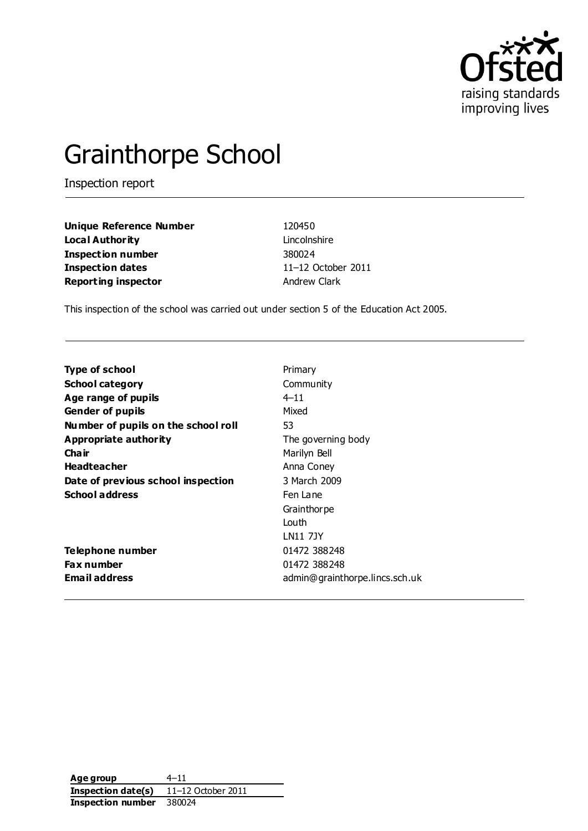

# Grainthorpe School

Inspection report

| <b>Unique Reference Number</b> | 120450    |
|--------------------------------|-----------|
| Loca l Author ity              | Lincolns  |
| Inspection number              | 380024    |
| <b>Inspection dates</b>        | $11 - 12$ |
| <b>Reporting inspector</b>     | Andrew    |

**Incolnshire Inspection dates** 11–12 October 2011 **Report** Clark

This inspection of the school was carried out under section 5 of the Education Act 2005.

| Type of school                      | Primary                        |
|-------------------------------------|--------------------------------|
| <b>School category</b>              | Community                      |
| Age range of pupils                 | $4 - 11$                       |
| <b>Gender of pupils</b>             | Mixed                          |
| Number of pupils on the school roll | 53                             |
| Appropriate authority               | The governing body             |
| Cha ir                              | Marilyn Bell                   |
| <b>Headteacher</b>                  | Anna Coney                     |
| Date of previous school inspection  | 3 March 2009                   |
| <b>School address</b>               | Fen Lane                       |
|                                     | Grainthor pe                   |
|                                     | Louth                          |
|                                     | <b>LN11 7JY</b>                |
| Telephone number                    | 01472 388248                   |
| <b>Fax number</b>                   | 01472 388248                   |
| Email address                       | admin@grainthorpe.lincs.sch.uk |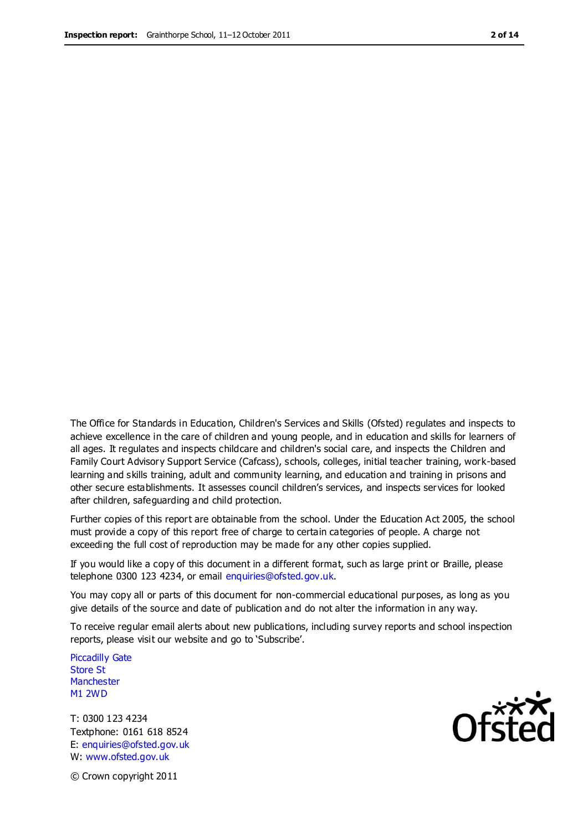The Office for Standards in Education, Children's Services and Skills (Ofsted) regulates and inspects to achieve excellence in the care of children and young people, and in education and skills for learners of all ages. It regulates and inspects childcare and children's social care, and inspects the Children and Family Court Advisory Support Service (Cafcass), schools, colleges, initial teacher training, work-based learning and skills training, adult and community learning, and education and training in prisons and other secure establishments. It assesses council children's services, and inspects services for looked after children, safeguarding and child protection.

Further copies of this report are obtainable from the school. Under the Education Act 2005, the school must provide a copy of this report free of charge to certain categories of people. A charge not exceeding the full cost of reproduction may be made for any other copies supplied.

If you would like a copy of this document in a different format, such as large print or Braille, please telephone 0300 123 4234, or email enquiries@ofsted.gov.uk.

You may copy all or parts of this document for non-commercial educational purposes, as long as you give details of the source and date of publication and do not alter the information in any way.

To receive regular email alerts about new publications, including survey reports and school inspection reports, please visit our website and go to 'Subscribe'.

Piccadilly Gate Store St **Manchester** M1 2WD

T: 0300 123 4234 Textphone: 0161 618 8524 E: enquiries@ofsted.gov.uk W: www.ofsted.gov.uk



© Crown copyright 2011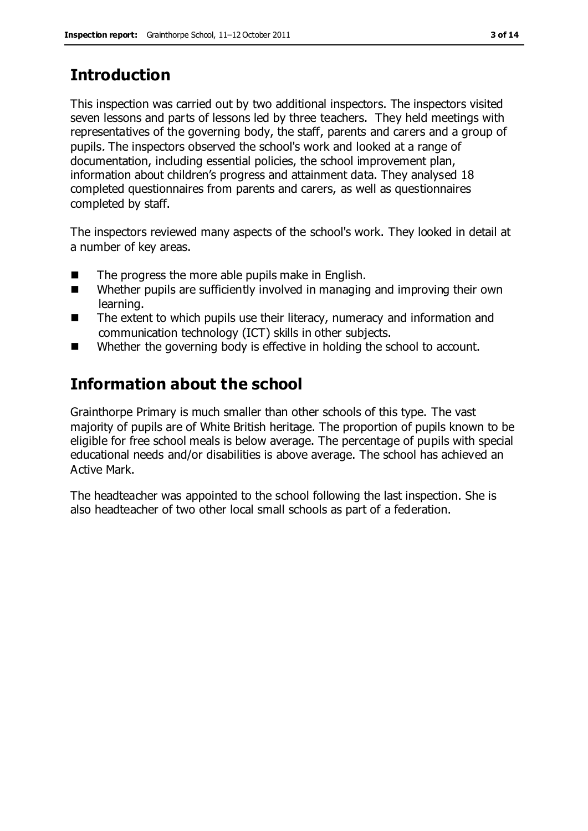# **Introduction**

This inspection was carried out by two additional inspectors. The inspectors visited seven lessons and parts of lessons led by three teachers. They held meetings with representatives of the governing body, the staff, parents and carers and a group of pupils. The inspectors observed the school's work and looked at a range of documentation, including essential policies, the school improvement plan, information about children's progress and attainment data. They analysed 18 completed questionnaires from parents and carers, as well as questionnaires completed by staff.

The inspectors reviewed many aspects of the school's work. They looked in detail at a number of key areas.

- $\blacksquare$  The progress the more able pupils make in English.
- Whether pupils are sufficiently involved in managing and improving their own learning.
- The extent to which pupils use their literacy, numeracy and information and communication technology (ICT) skills in other subjects.
- Whether the governing body is effective in holding the school to account.

## **Information about the school**

Grainthorpe Primary is much smaller than other schools of this type. The vast majority of pupils are of White British heritage. The proportion of pupils known to be eligible for free school meals is below average. The percentage of pupils with special educational needs and/or disabilities is above average. The school has achieved an Active Mark.

The headteacher was appointed to the school following the last inspection. She is also headteacher of two other local small schools as part of a federation.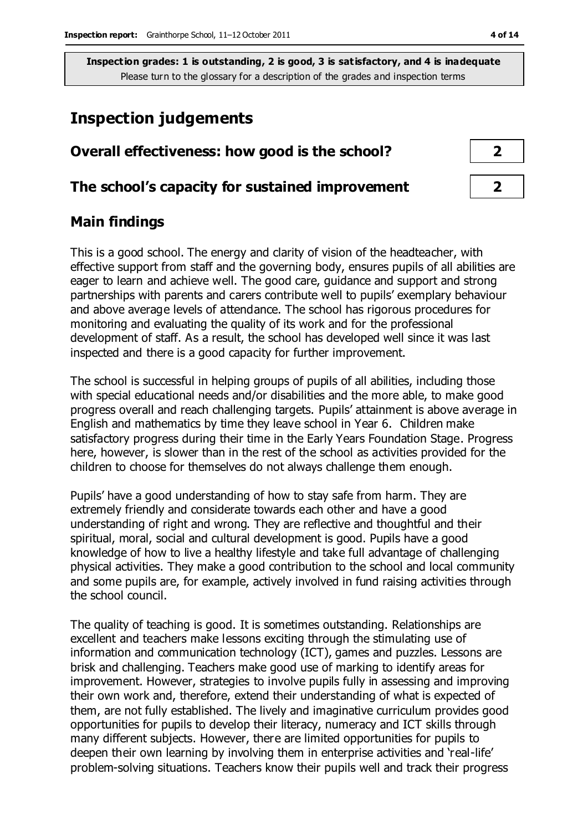### **Inspection judgements**

| Overall effectiveness: how good is the school?  |  |
|-------------------------------------------------|--|
| The school's capacity for sustained improvement |  |

### **Main findings**

This is a good school. The energy and clarity of vision of the headteacher, with effective support from staff and the governing body, ensures pupils of all abilities are eager to learn and achieve well. The good care, guidance and support and strong partnerships with parents and carers contribute well to pupils' exemplary behaviour and above average levels of attendance. The school has rigorous procedures for monitoring and evaluating the quality of its work and for the professional development of staff. As a result, the school has developed well since it was last inspected and there is a good capacity for further improvement.

The school is successful in helping groups of pupils of all abilities, including those with special educational needs and/or disabilities and the more able, to make good progress overall and reach challenging targets. Pupils' attainment is above average in English and mathematics by time they leave school in Year 6. Children make satisfactory progress during their time in the Early Years Foundation Stage. Progress here, however, is slower than in the rest of the school as activities provided for the children to choose for themselves do not always challenge them enough.

Pupils' have a good understanding of how to stay safe from harm. They are extremely friendly and considerate towards each other and have a good understanding of right and wrong. They are reflective and thoughtful and their spiritual, moral, social and cultural development is good. Pupils have a good knowledge of how to live a healthy lifestyle and take full advantage of challenging physical activities. They make a good contribution to the school and local community and some pupils are, for example, actively involved in fund raising activities through the school council.

The quality of teaching is good. It is sometimes outstanding. Relationships are excellent and teachers make lessons exciting through the stimulating use of information and communication technology (ICT), games and puzzles. Lessons are brisk and challenging. Teachers make good use of marking to identify areas for improvement. However, strategies to involve pupils fully in assessing and improving their own work and, therefore, extend their understanding of what is expected of them, are not fully established. The lively and imaginative curriculum provides good opportunities for pupils to develop their literacy, numeracy and ICT skills through many different subjects. However, there are limited opportunities for pupils to deepen their own learning by involving them in enterprise activities and 'real-life' problem-solving situations. Teachers know their pupils well and track their progress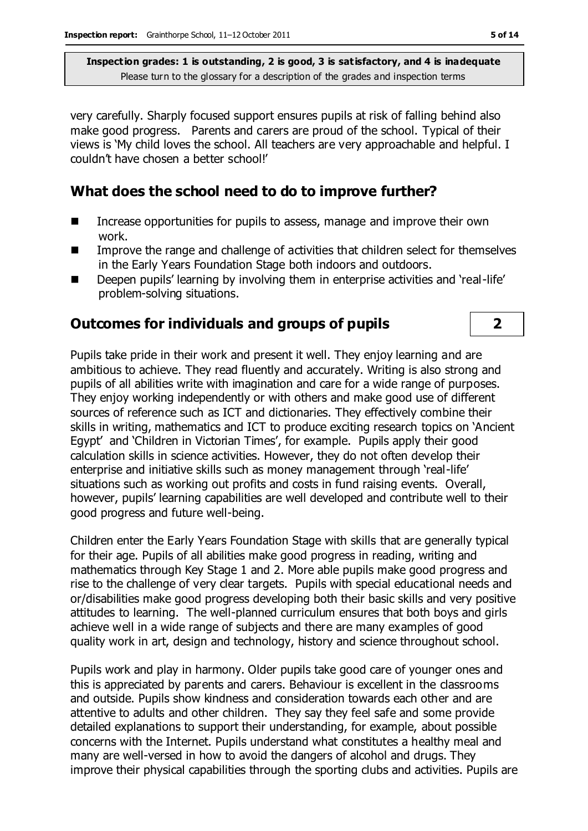very carefully. Sharply focused support ensures pupils at risk of falling behind also make good progress. Parents and carers are proud of the school. Typical of their views is 'My child loves the school. All teachers are very approachable and helpful. I couldn't have chosen a better school!'

### **What does the school need to do to improve further?**

- Increase opportunities for pupils to assess, manage and improve their own work.
- Improve the range and challenge of activities that children select for themselves in the Early Years Foundation Stage both indoors and outdoors.
- Deepen pupils' learning by involving them in enterprise activities and 'real-life' problem-solving situations.

### **Outcomes for individuals and groups of pupils 2**

Pupils take pride in their work and present it well. They enjoy learning and are ambitious to achieve. They read fluently and accurately. Writing is also strong and pupils of all abilities write with imagination and care for a wide range of purposes. They enjoy working independently or with others and make good use of different sources of reference such as ICT and dictionaries. They effectively combine their skills in writing, mathematics and ICT to produce exciting research topics on 'Ancient Egypt' and 'Children in Victorian Times', for example. Pupils apply their good calculation skills in science activities. However, they do not often develop their enterprise and initiative skills such as money management through 'real-life' situations such as working out profits and costs in fund raising events. Overall, however, pupils' learning capabilities are well developed and contribute well to their good progress and future well-being.

Children enter the Early Years Foundation Stage with skills that are generally typical for their age. Pupils of all abilities make good progress in reading, writing and mathematics through Key Stage 1 and 2. More able pupils make good progress and rise to the challenge of very clear targets. Pupils with special educational needs and or/disabilities make good progress developing both their basic skills and very positive attitudes to learning. The well-planned curriculum ensures that both boys and girls achieve well in a wide range of subjects and there are many examples of good quality work in art, design and technology, history and science throughout school.

Pupils work and play in harmony. Older pupils take good care of younger ones and this is appreciated by parents and carers. Behaviour is excellent in the classrooms and outside. Pupils show kindness and consideration towards each other and are attentive to adults and other children. They say they feel safe and some provide detailed explanations to support their understanding, for example, about possible concerns with the Internet. Pupils understand what constitutes a healthy meal and many are well-versed in how to avoid the dangers of alcohol and drugs. They improve their physical capabilities through the sporting clubs and activities. Pupils are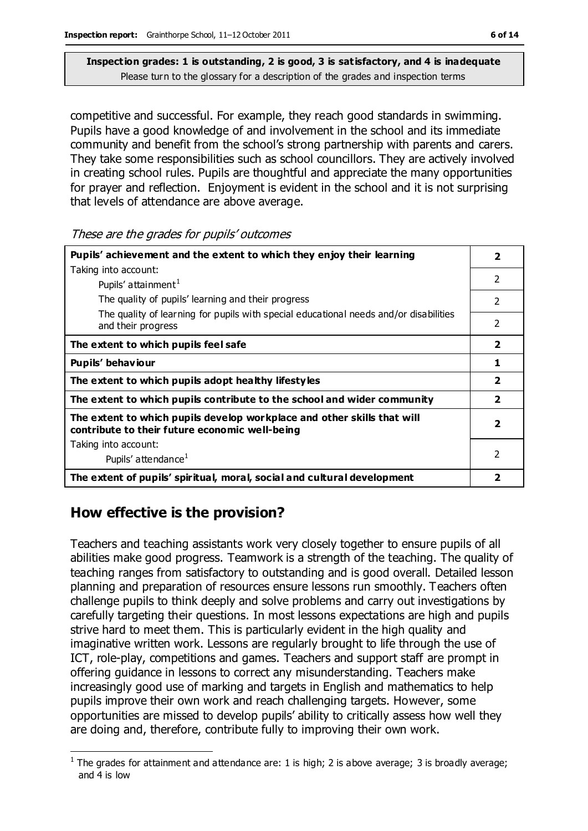competitive and successful. For example, they reach good standards in swimming. Pupils have a good knowledge of and involvement in the school and its immediate community and benefit from the school's strong partnership with parents and carers. They take some responsibilities such as school councillors. They are actively involved in creating school rules. Pupils are thoughtful and appreciate the many opportunities for prayer and reflection. Enjoyment is evident in the school and it is not surprising that levels of attendance are above average.

These are the grades for pupils' outcomes

| Pupils' achievement and the extent to which they enjoy their learning                                                     | 2                       |
|---------------------------------------------------------------------------------------------------------------------------|-------------------------|
| Taking into account:                                                                                                      |                         |
| Pupils' attainment <sup>1</sup>                                                                                           | $\mathcal{P}$           |
| The quality of pupils' learning and their progress                                                                        | $\overline{2}$          |
| The quality of learning for pupils with special educational needs and/or disabilities<br>and their progress               | 2                       |
| The extent to which pupils feel safe                                                                                      | $\overline{\mathbf{2}}$ |
| Pupils' behaviour                                                                                                         | 1                       |
| The extent to which pupils adopt healthy lifestyles                                                                       | $\overline{\mathbf{2}}$ |
| The extent to which pupils contribute to the school and wider community                                                   | $\overline{\mathbf{2}}$ |
| The extent to which pupils develop workplace and other skills that will<br>contribute to their future economic well-being | $\overline{\mathbf{2}}$ |
| Taking into account:                                                                                                      |                         |
| Pupils' attendance <sup>1</sup>                                                                                           | 2                       |
| The extent of pupils' spiritual, moral, social and cultural development                                                   | 2                       |

### **How effective is the provision?**

Teachers and teaching assistants work very closely together to ensure pupils of all abilities make good progress. Teamwork is a strength of the teaching. The quality of teaching ranges from satisfactory to outstanding and is good overall. Detailed lesson planning and preparation of resources ensure lessons run smoothly. Teachers often challenge pupils to think deeply and solve problems and carry out investigations by carefully targeting their questions. In most lessons expectations are high and pupils strive hard to meet them. This is particularly evident in the high quality and imaginative written work. Lessons are regularly brought to life through the use of ICT, role-play, competitions and games. Teachers and support staff are prompt in offering guidance in lessons to correct any misunderstanding. Teachers make increasingly good use of marking and targets in English and mathematics to help pupils improve their own work and reach challenging targets. However, some opportunities are missed to develop pupils' ability to critically assess how well they are doing and, therefore, contribute fully to improving their own work.

 $\overline{a}$ <sup>1</sup> The grades for attainment and attendance are: 1 is high; 2 is above average; 3 is broadly average; and 4 is low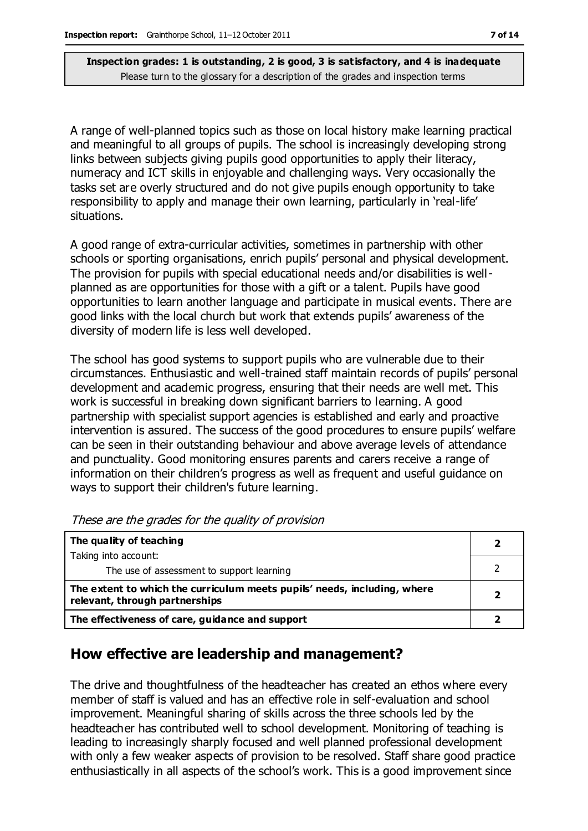A range of well-planned topics such as those on local history make learning practical and meaningful to all groups of pupils. The school is increasingly developing strong links between subjects giving pupils good opportunities to apply their literacy, numeracy and ICT skills in enjoyable and challenging ways. Very occasionally the tasks set are overly structured and do not give pupils enough opportunity to take responsibility to apply and manage their own learning, particularly in 'real-life' situations.

A good range of extra-curricular activities, sometimes in partnership with other schools or sporting organisations, enrich pupils' personal and physical development. The provision for pupils with special educational needs and/or disabilities is wellplanned as are opportunities for those with a gift or a talent. Pupils have good opportunities to learn another language and participate in musical events. There are good links with the local church but work that extends pupils' awareness of the diversity of modern life is less well developed.

The school has good systems to support pupils who are vulnerable due to their circumstances. Enthusiastic and well-trained staff maintain records of pupils' personal development and academic progress, ensuring that their needs are well met. This work is successful in breaking down significant barriers to learning. A good partnership with specialist support agencies is established and early and proactive intervention is assured. The success of the good procedures to ensure pupils' welfare can be seen in their outstanding behaviour and above average levels of attendance and punctuality. Good monitoring ensures parents and carers receive a range of information on their children's progress as well as frequent and useful guidance on ways to support their children's future learning.

| The quality of teaching                                                                                    |  |
|------------------------------------------------------------------------------------------------------------|--|
| Taking into account:                                                                                       |  |
| The use of assessment to support learning                                                                  |  |
| The extent to which the curriculum meets pupils' needs, including, where<br>relevant, through partnerships |  |
| The effectiveness of care, guidance and support                                                            |  |

These are the grades for the quality of provision

### **How effective are leadership and management?**

The drive and thoughtfulness of the headteacher has created an ethos where every member of staff is valued and has an effective role in self-evaluation and school improvement. Meaningful sharing of skills across the three schools led by the headteacher has contributed well to school development. Monitoring of teaching is leading to increasingly sharply focused and well planned professional development with only a few weaker aspects of provision to be resolved. Staff share good practice enthusiastically in all aspects of the school's work. This is a good improvement since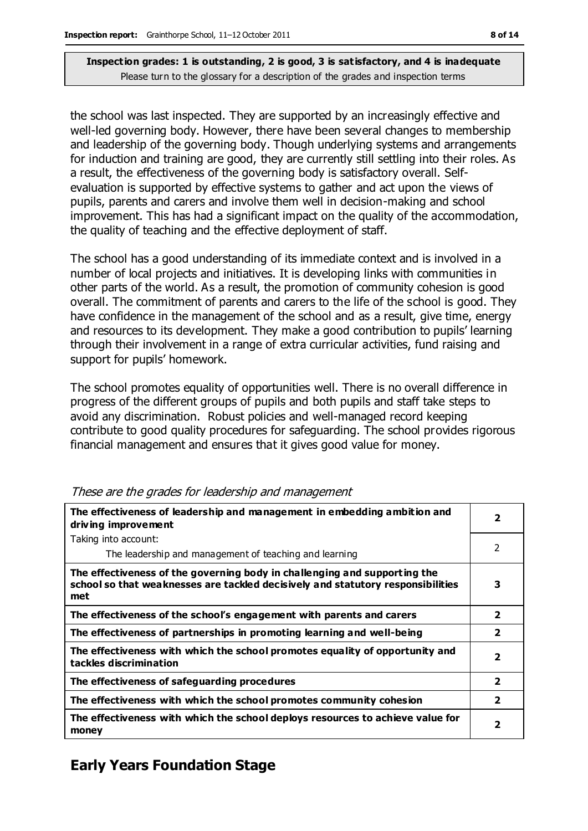the school was last inspected. They are supported by an increasingly effective and well-led governing body. However, there have been several changes to membership and leadership of the governing body. Though underlying systems and arrangements for induction and training are good, they are currently still settling into their roles. As a result, the effectiveness of the governing body is satisfactory overall. Selfevaluation is supported by effective systems to gather and act upon the views of pupils, parents and carers and involve them well in decision-making and school improvement. This has had a significant impact on the quality of the accommodation, the quality of teaching and the effective deployment of staff.

The school has a good understanding of its immediate context and is involved in a number of local projects and initiatives. It is developing links with communities in other parts of the world. As a result, the promotion of community cohesion is good overall. The commitment of parents and carers to the life of the school is good. They have confidence in the management of the school and as a result, give time, energy and resources to its development. They make a good contribution to pupils' learning through their involvement in a range of extra curricular activities, fund raising and support for pupils' homework.

The school promotes equality of opportunities well. There is no overall difference in progress of the different groups of pupils and both pupils and staff take steps to avoid any discrimination. Robust policies and well-managed record keeping contribute to good quality procedures for safeguarding. The school provides rigorous financial management and ensures that it gives good value for money.

| The effectiveness of leadership and management in embedding ambition and<br>driving improvement                                                                     | $\overline{\mathbf{2}}$ |
|---------------------------------------------------------------------------------------------------------------------------------------------------------------------|-------------------------|
| Taking into account:                                                                                                                                                |                         |
| The leadership and management of teaching and learning                                                                                                              | $\mathfrak{p}$          |
| The effectiveness of the governing body in challenging and supporting the<br>school so that weaknesses are tackled decisively and statutory responsibilities<br>met | 3                       |
| The effectiveness of the school's engagement with parents and carers                                                                                                | $\overline{\mathbf{2}}$ |
| The effectiveness of partnerships in promoting learning and well-being                                                                                              | $\overline{\mathbf{2}}$ |
| The effectiveness with which the school promotes equality of opportunity and<br>tackles discrimination                                                              | $\overline{2}$          |
| The effectiveness of safeguarding procedures                                                                                                                        | $\overline{\mathbf{2}}$ |
| The effectiveness with which the school promotes community cohesion                                                                                                 | $\overline{\mathbf{2}}$ |
| The effectiveness with which the school deploys resources to achieve value for<br>money                                                                             | $\overline{\mathbf{2}}$ |

#### These are the grades for leadership and management

### **Early Years Foundation Stage**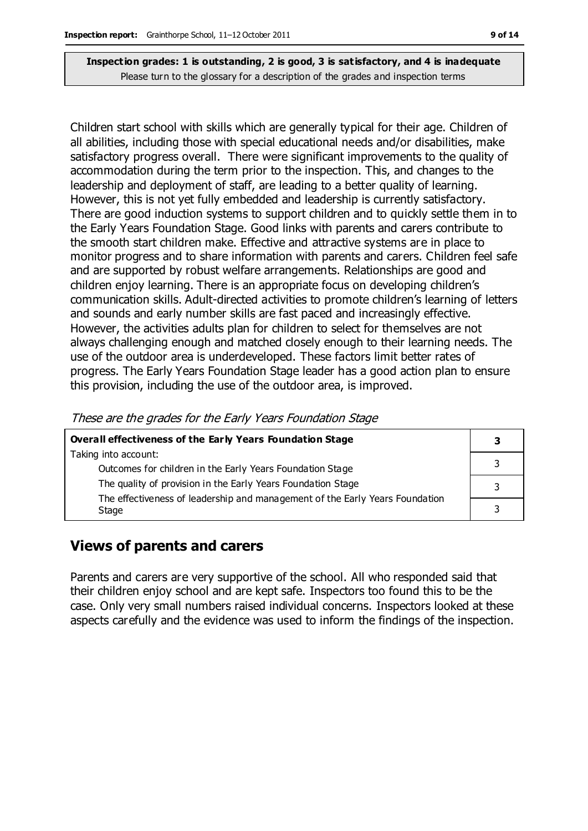Children start school with skills which are generally typical for their age. Children of all abilities, including those with special educational needs and/or disabilities, make satisfactory progress overall. There were significant improvements to the quality of accommodation during the term prior to the inspection. This, and changes to the leadership and deployment of staff, are leading to a better quality of learning. However, this is not yet fully embedded and leadership is currently satisfactory. There are good induction systems to support children and to quickly settle them in to the Early Years Foundation Stage. Good links with parents and carers contribute to the smooth start children make. Effective and attractive systems are in place to monitor progress and to share information with parents and carers. Children feel safe and are supported by robust welfare arrangements. Relationships are good and children enjoy learning. There is an appropriate focus on developing children's communication skills. Adult-directed activities to promote children's learning of letters and sounds and early number skills are fast paced and increasingly effective. However, the activities adults plan for children to select for themselves are not always challenging enough and matched closely enough to their learning needs. The use of the outdoor area is underdeveloped. These factors limit better rates of progress. The Early Years Foundation Stage leader has a good action plan to ensure this provision, including the use of the outdoor area, is improved.

These are the grades for the Early Years Foundation Stage

| Overall effectiveness of the Early Years Foundation Stage                    | З |
|------------------------------------------------------------------------------|---|
| Taking into account:                                                         |   |
| Outcomes for children in the Early Years Foundation Stage                    |   |
| The quality of provision in the Early Years Foundation Stage                 |   |
| The effectiveness of leadership and management of the Early Years Foundation |   |
| Stage                                                                        | 2 |

### **Views of parents and carers**

Parents and carers are very supportive of the school. All who responded said that their children enjoy school and are kept safe. Inspectors too found this to be the case. Only very small numbers raised individual concerns. Inspectors looked at these aspects carefully and the evidence was used to inform the findings of the inspection.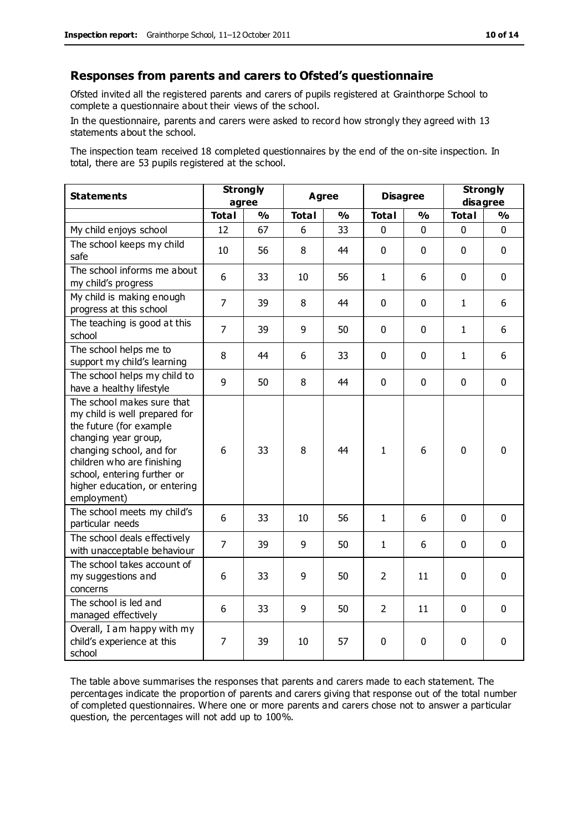#### **Responses from parents and carers to Ofsted's questionnaire**

Ofsted invited all the registered parents and carers of pupils registered at Grainthorpe School to complete a questionnaire about their views of the school.

In the questionnaire, parents and carers were asked to record how strongly they agreed with 13 statements about the school.

The inspection team received 18 completed questionnaires by the end of the on-site inspection. In total, there are 53 pupils registered at the school.

| <b>Statements</b>                                                                                                                                                                                                                                       | <b>Strongly</b><br>agree |               | Agree<br><b>Disagree</b> |               |                | <b>Strongly</b><br>disagree |              |               |
|---------------------------------------------------------------------------------------------------------------------------------------------------------------------------------------------------------------------------------------------------------|--------------------------|---------------|--------------------------|---------------|----------------|-----------------------------|--------------|---------------|
|                                                                                                                                                                                                                                                         | <b>Total</b>             | $\frac{1}{2}$ | <b>Total</b>             | $\frac{1}{2}$ | <b>Total</b>   | $\frac{1}{2}$               | <b>Total</b> | $\frac{1}{2}$ |
| My child enjoys school                                                                                                                                                                                                                                  | 12                       | 67            | 6                        | 33            | 0              | 0                           | $\mathbf 0$  | $\mathbf 0$   |
| The school keeps my child<br>safe                                                                                                                                                                                                                       | 10                       | 56            | 8                        | 44            | $\mathbf 0$    | $\mathbf{0}$                | $\mathbf 0$  | $\mathbf 0$   |
| The school informs me about<br>my child's progress                                                                                                                                                                                                      | 6                        | 33            | 10                       | 56            | $\mathbf{1}$   | 6                           | $\mathbf 0$  | $\mathbf 0$   |
| My child is making enough<br>progress at this school                                                                                                                                                                                                    | $\overline{7}$           | 39            | 8                        | 44            | 0              | 0                           | $\mathbf{1}$ | 6             |
| The teaching is good at this<br>school                                                                                                                                                                                                                  | $\overline{7}$           | 39            | 9                        | 50            | 0              | $\mathbf 0$                 | $\mathbf{1}$ | 6             |
| The school helps me to<br>support my child's learning                                                                                                                                                                                                   | 8                        | 44            | 6                        | 33            | 0              | $\Omega$                    | $\mathbf{1}$ | 6             |
| The school helps my child to<br>have a healthy lifestyle                                                                                                                                                                                                | 9                        | 50            | 8                        | 44            | $\mathbf 0$    | $\mathbf 0$                 | $\mathbf 0$  | $\mathbf 0$   |
| The school makes sure that<br>my child is well prepared for<br>the future (for example<br>changing year group,<br>changing school, and for<br>children who are finishing<br>school, entering further or<br>higher education, or entering<br>employment) | 6                        | 33            | 8                        | 44            | $\mathbf{1}$   | 6                           | $\mathbf{0}$ | 0             |
| The school meets my child's<br>particular needs                                                                                                                                                                                                         | 6                        | 33            | 10                       | 56            | $\mathbf{1}$   | 6                           | $\mathbf 0$  | $\mathbf 0$   |
| The school deals effectively<br>with unacceptable behaviour                                                                                                                                                                                             | $\overline{7}$           | 39            | 9                        | 50            | 1              | 6                           | $\mathbf 0$  | $\mathbf 0$   |
| The school takes account of<br>my suggestions and<br>concerns                                                                                                                                                                                           | 6                        | 33            | 9                        | 50            | $\overline{2}$ | 11                          | $\mathbf 0$  | $\mathbf 0$   |
| The school is led and<br>managed effectively                                                                                                                                                                                                            | 6                        | 33            | 9                        | 50            | $\overline{2}$ | 11                          | $\mathbf 0$  | $\mathbf 0$   |
| Overall, I am happy with my<br>child's experience at this<br>school                                                                                                                                                                                     | 7                        | 39            | 10                       | 57            | 0              | $\mathbf 0$                 | $\mathbf 0$  | 0             |

The table above summarises the responses that parents and carers made to each statement. The percentages indicate the proportion of parents and carers giving that response out of the total number of completed questionnaires. Where one or more parents and carers chose not to answer a particular question, the percentages will not add up to 100%.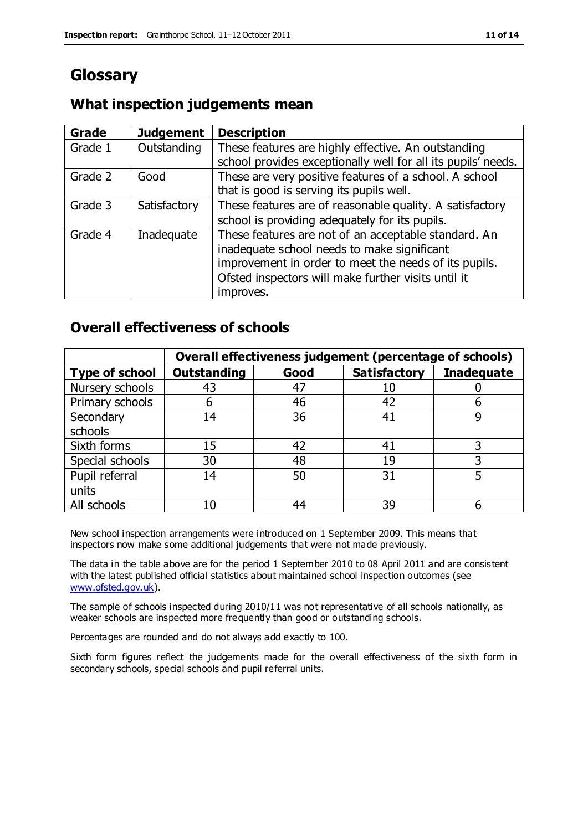# **Glossary**

### **What inspection judgements mean**

| Grade   | <b>Judgement</b> | <b>Description</b>                                            |
|---------|------------------|---------------------------------------------------------------|
| Grade 1 | Outstanding      | These features are highly effective. An outstanding           |
|         |                  | school provides exceptionally well for all its pupils' needs. |
| Grade 2 | Good             | These are very positive features of a school. A school        |
|         |                  | that is good is serving its pupils well.                      |
| Grade 3 | Satisfactory     | These features are of reasonable quality. A satisfactory      |
|         |                  | school is providing adequately for its pupils.                |
| Grade 4 | Inadequate       | These features are not of an acceptable standard. An          |
|         |                  | inadequate school needs to make significant                   |
|         |                  | improvement in order to meet the needs of its pupils.         |
|         |                  | Ofsted inspectors will make further visits until it           |
|         |                  | improves.                                                     |

### **Overall effectiveness of schools**

|                       | Overall effectiveness judgement (percentage of schools) |      |                     |                   |
|-----------------------|---------------------------------------------------------|------|---------------------|-------------------|
| <b>Type of school</b> | <b>Outstanding</b>                                      | Good | <b>Satisfactory</b> | <b>Inadequate</b> |
| Nursery schools       | 43                                                      | 47   | 10                  |                   |
| Primary schools       | 6                                                       | 46   | 42                  |                   |
| Secondary             | 14                                                      | 36   | 41                  |                   |
| schools               |                                                         |      |                     |                   |
| Sixth forms           | 15                                                      | 42   | 41                  | 3                 |
| Special schools       | 30                                                      | 48   | 19                  |                   |
| Pupil referral        | 14                                                      | 50   | 31                  |                   |
| units                 |                                                         |      |                     |                   |
| All schools           | 10                                                      | 44   | 39                  |                   |

New school inspection arrangements were introduced on 1 September 2009. This means that inspectors now make some additional judgements that were not made previously.

The data in the table above are for the period 1 September 2010 to 08 April 2011 and are consistent with the latest published official statistics about maintained school inspection outcomes (see [www.ofsted.gov.uk\)](http://www.ofsted.gov.uk/).

The sample of schools inspected during 2010/11 was not representative of all schools nationally, as weaker schools are inspected more frequently than good or outstanding schools.

Percentages are rounded and do not always add exactly to 100.

Sixth form figures reflect the judgements made for the overall effectiveness of the sixth form in secondary schools, special schools and pupil referral units.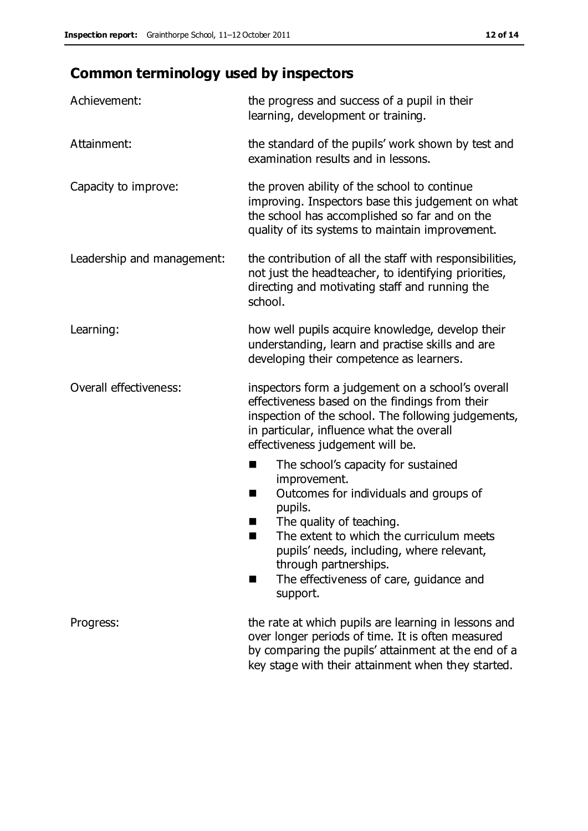# **Common terminology used by inspectors**

| Achievement:               | the progress and success of a pupil in their<br>learning, development or training.                                                                                                                                                                                                                                           |  |
|----------------------------|------------------------------------------------------------------------------------------------------------------------------------------------------------------------------------------------------------------------------------------------------------------------------------------------------------------------------|--|
| Attainment:                | the standard of the pupils' work shown by test and<br>examination results and in lessons.                                                                                                                                                                                                                                    |  |
| Capacity to improve:       | the proven ability of the school to continue<br>improving. Inspectors base this judgement on what<br>the school has accomplished so far and on the<br>quality of its systems to maintain improvement.                                                                                                                        |  |
| Leadership and management: | the contribution of all the staff with responsibilities,<br>not just the headteacher, to identifying priorities,<br>directing and motivating staff and running the<br>school.                                                                                                                                                |  |
| Learning:                  | how well pupils acquire knowledge, develop their<br>understanding, learn and practise skills and are<br>developing their competence as learners.                                                                                                                                                                             |  |
| Overall effectiveness:     | inspectors form a judgement on a school's overall<br>effectiveness based on the findings from their<br>inspection of the school. The following judgements,<br>in particular, influence what the overall<br>effectiveness judgement will be.                                                                                  |  |
|                            | The school's capacity for sustained<br>×<br>improvement.<br>Outcomes for individuals and groups of<br>п<br>pupils.<br>The quality of teaching.<br>The extent to which the curriculum meets<br>pupils' needs, including, where relevant,<br>through partnerships.<br>The effectiveness of care, guidance and<br>ш<br>support. |  |
| Progress:                  | the rate at which pupils are learning in lessons and<br>over longer periods of time. It is often measured<br>by comparing the pupils' attainment at the end of a<br>key stage with their attainment when they started.                                                                                                       |  |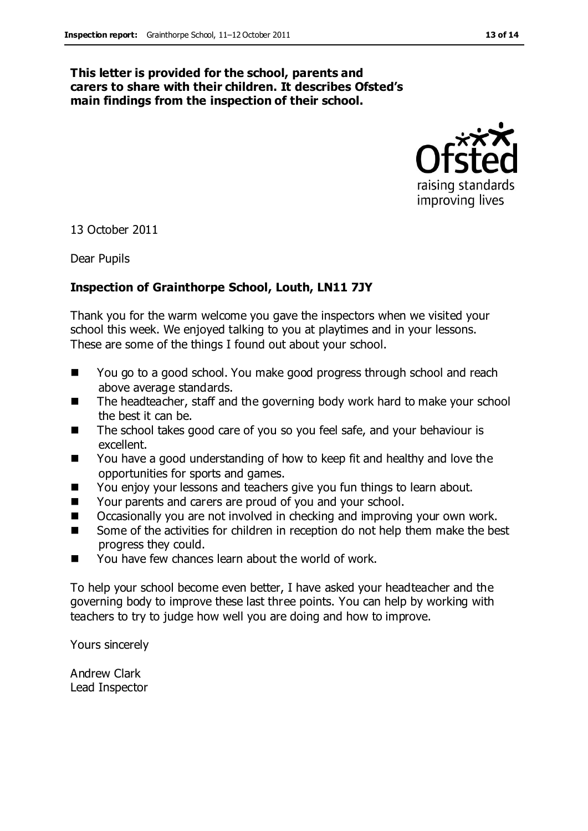#### **This letter is provided for the school, parents and carers to share with their children. It describes Ofsted's main findings from the inspection of their school.**



13 October 2011

Dear Pupils

#### **Inspection of Grainthorpe School, Louth, LN11 7JY**

Thank you for the warm welcome you gave the inspectors when we visited your school this week. We enjoyed talking to you at playtimes and in your lessons. These are some of the things I found out about your school.

- You go to a good school. You make good progress through school and reach above average standards.
- The headteacher, staff and the governing body work hard to make your school the best it can be.
- The school takes good care of you so you feel safe, and your behaviour is excellent.
- You have a good understanding of how to keep fit and healthy and love the opportunities for sports and games.
- You enjoy your lessons and teachers give you fun things to learn about.
- Your parents and carers are proud of you and your school.
- Occasionally you are not involved in checking and improving your own work.
- Some of the activities for children in reception do not help them make the best progress they could.
- You have few chances learn about the world of work.

To help your school become even better, I have asked your headteacher and the governing body to improve these last three points. You can help by working with teachers to try to judge how well you are doing and how to improve.

Yours sincerely

Andrew Clark Lead Inspector